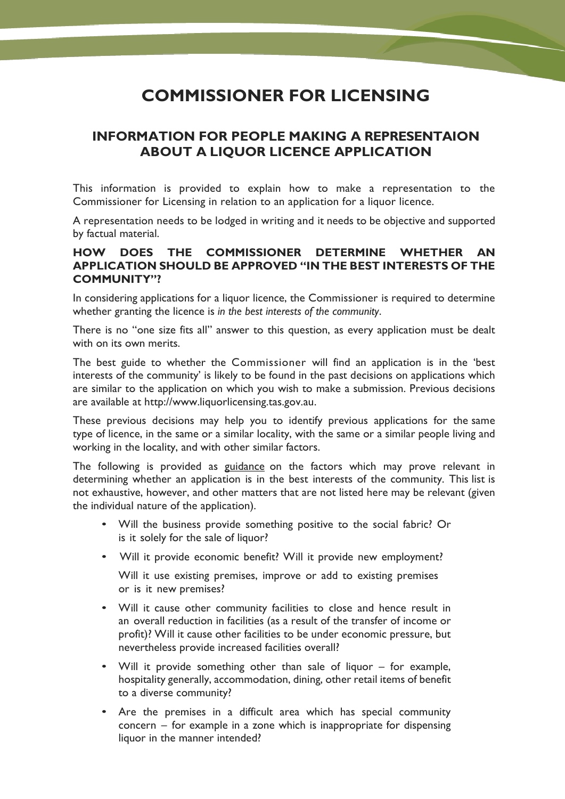## **COMMISSIONER FOR LICENSING**

## **INFORMATION FOR PEOPLE MAKING A REPRESENTAION ABOUT A LIQUOR LICENCE APPLICATION**

This information is provided to explain how to make a representation to the Commissioner for Licensing in relation to an application for a liquor licence.

A representation needs to be lodged in writing and it needs to be objective and supported by factual material.

## **HOW DOES THE COMMISSIONER DETERMINE WHETHER AN APPLICATION SHOULD BE APPROVED "IN THE BEST INTERESTS OF THE COMMUNITY"?**

In considering applications for a liquor licence, the Commissioner is required to determine whether granting the licence is *in the best interests of the community*.

There is no "one size fits all" answer to this question, as every application must be dealt with on its own merits.

The best guide to whether the Commissioner will find an application is in the 'best interests of the community' is likely to be found in the past decisions on applications which are similar to the application on which you wish to make a submission. Previous decisions are available at http://www.liquorlicensing.tas.gov.au.

These previous decisions may help you to identify previous applications for the same type of licence, in the same or a similar locality, with the same or a similar people living and working in the locality, and with other similar factors.

The following is provided as guidance on the factors which may prove relevant in determining whether an application is in the best interests of the community. This list is not exhaustive, however, and other matters that are not listed here may be relevant (given the individual nature of the application).

- Will the business provide something positive to the social fabric? Or is it solely for the sale of liquor?
- Will it provide economic benefit? Will it provide new employment?

Will it use existing premises, improve or add to existing premises or is it new premises?

- Will it cause other community facilities to close and hence result in an overall reduction in facilities (as a result of the transfer of income or profit)? Will it cause other facilities to be under economic pressure, but nevertheless provide increased facilities overall?
- Will it provide something other than sale of liquor for example, hospitality generally, accommodation, dining, other retail items of benefit to a diverse community?
- $concern for example in a zone which is inappropriate for dispersing$ liquor in the manner intended? • Are the premises in a difficult area which has special community